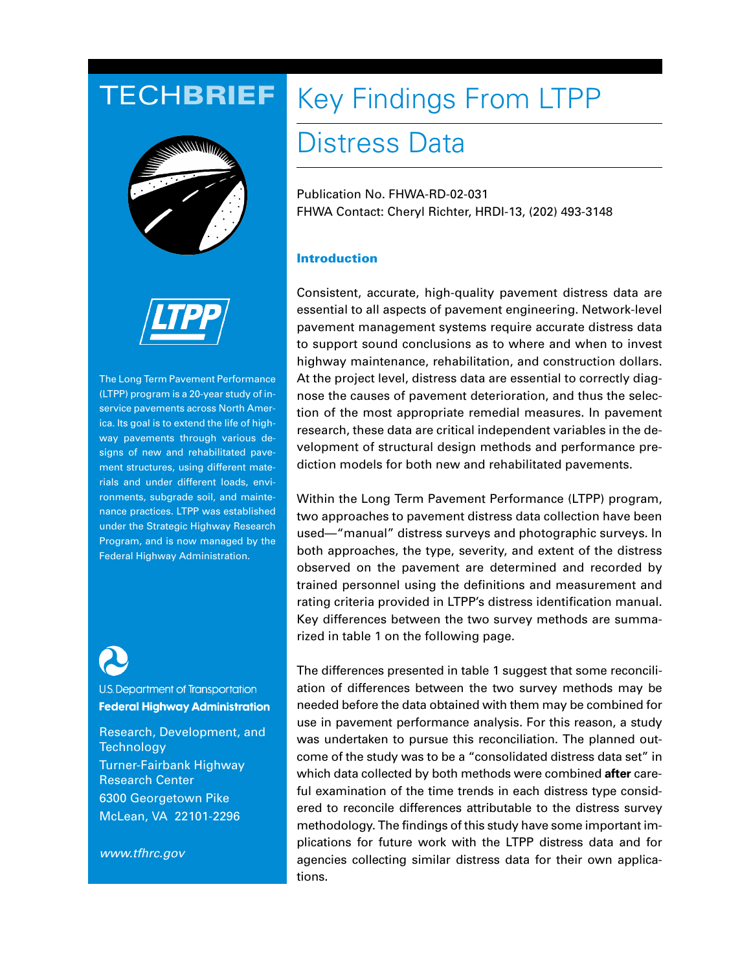# TECH**BRIEF**





The Long Term Pavement Performance (LTPP) program is a 20-year study of inservice pavements across North America. Its goal is to extend the life of highway pavements through various designs of new and rehabilitated pavement structures, using different materials and under different loads, environments, subgrade soil, and maintenance practices. LTPP was established under the Strategic Highway Research Program, and is now managed by the Federal Highway Administration.



U.S. Department of Transportation **Federal Highway Administration** 

Research, Development, and **Technology** Turner-Fairbank Highway Research Center 6300 Georgetown Pike McLean, VA 22101-2296

www.tfhrc.gov

# Key Findings From LTPP

## Distress Data

Publication No. FHWA-RD-02-031 FHWA Contact: Cheryl Richter, HRDI-13, (202) 493-3148

## **Introduction**

Consistent, accurate, high-quality pavement distress data are essential to all aspects of pavement engineering. Network-level pavement management systems require accurate distress data to support sound conclusions as to where and when to invest highway maintenance, rehabilitation, and construction dollars. At the project level, distress data are essential to correctly diagnose the causes of pavement deterioration, and thus the selection of the most appropriate remedial measures. In pavement research, these data are critical independent variables in the development of structural design methods and performance prediction models for both new and rehabilitated pavements.

Within the Long Term Pavement Performance (LTPP) program, two approaches to pavement distress data collection have been used—"manual" distress surveys and photographic surveys. In both approaches, the type, severity, and extent of the distress observed on the pavement are determined and recorded by trained personnel using the definitions and measurement and rating criteria provided in LTPP's distress identification manual. Key differences between the two survey methods are summarized in table 1 on the following page.

The differences presented in table 1 suggest that some reconciliation of differences between the two survey methods may be needed before the data obtained with them may be combined for use in pavement performance analysis. For this reason, a study was undertaken to pursue this reconciliation. The planned outcome of the study was to be a "consolidated distress data set" in which data collected by both methods were combined **after** careful examination of the time trends in each distress type considered to reconcile differences attributable to the distress survey methodology. The findings of this study have some important implications for future work with the LTPP distress data and for agencies collecting similar distress data for their own applications.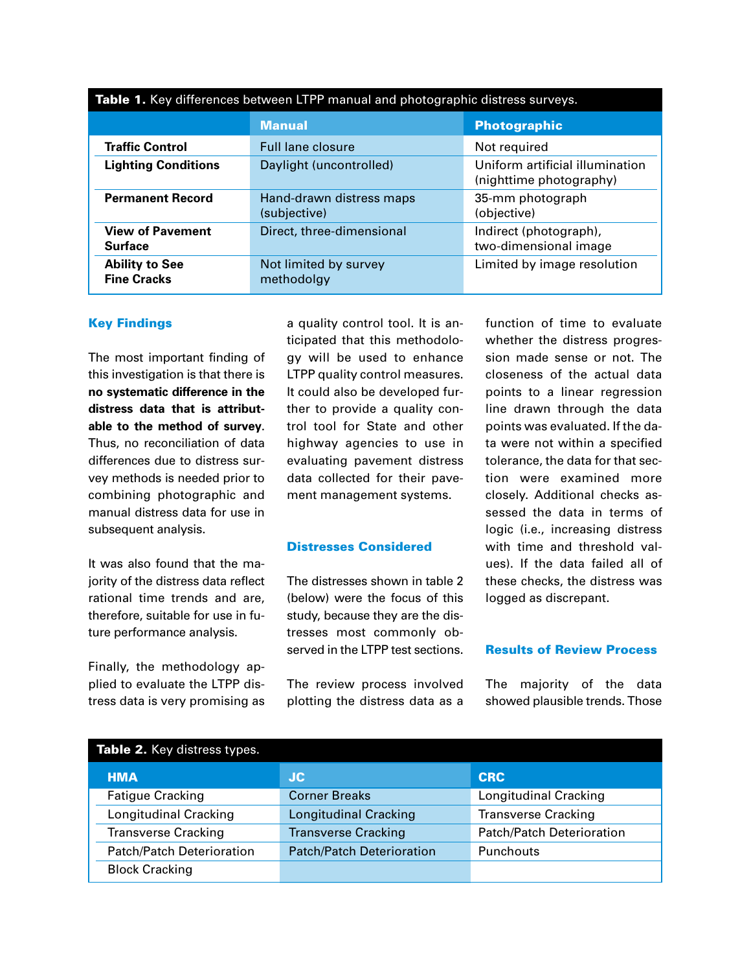| Table 1. Key differences between LTPP manual and photographic distress surveys. |                                          |                                                            |  |  |  |
|---------------------------------------------------------------------------------|------------------------------------------|------------------------------------------------------------|--|--|--|
|                                                                                 | <b>Manual</b><br><b>Photographic</b>     |                                                            |  |  |  |
| <b>Traffic Control</b>                                                          | <b>Full lane closure</b>                 | Not required                                               |  |  |  |
| <b>Lighting Conditions</b>                                                      | Daylight (uncontrolled)                  | Uniform artificial illumination<br>(nighttime photography) |  |  |  |
| <b>Permanent Record</b>                                                         | Hand-drawn distress maps<br>(subjective) | 35-mm photograph<br>(objective)                            |  |  |  |
| <b>View of Pavement</b><br><b>Surface</b>                                       | Direct, three-dimensional                | Indirect (photograph),<br>two-dimensional image            |  |  |  |
| <b>Ability to See</b><br><b>Fine Cracks</b>                                     | Not limited by survey<br>methodolgy      | Limited by image resolution                                |  |  |  |

**Key Findings**

The most important finding of this investigation is that there is **no systematic difference in the distress data that is attributable to the method of survey**. Thus, no reconciliation of data differences due to distress survey methods is needed prior to combining photographic and manual distress data for use in subsequent analysis.

It was also found that the majority of the distress data reflect rational time trends and are, therefore, suitable for use in future performance analysis.

Finally, the methodology applied to evaluate the LTPP distress data is very promising as

a quality control tool. It is anticipated that this methodology will be used to enhance LTPP quality control measures. It could also be developed further to provide a quality control tool for State and other highway agencies to use in evaluating pavement distress data collected for their pavement management systems.

## **Distresses Considered**

The distresses shown in table 2 (below) were the focus of this study, because they are the distresses most commonly observed in the LTPP test sections.

The review process involved plotting the distress data as a

function of time to evaluate whether the distress progression made sense or not. The closeness of the actual data points to a linear regression line drawn through the data points was evaluated. If the data were not within a specified tolerance, the data for that section were examined more closely. Additional checks assessed the data in terms of logic (i.e., increasing distress with time and threshold values). If the data failed all of these checks, the distress was logged as discrepant.

## **Results of Review Process**

The majority of the data showed plausible trends. Those

| Table 2. Key distress types.     |                                  |                                  |  |  |  |
|----------------------------------|----------------------------------|----------------------------------|--|--|--|
| <b>HMA</b>                       | <b>JC</b>                        | <b>CRC</b>                       |  |  |  |
| <b>Fatigue Cracking</b>          | <b>Corner Breaks</b>             | <b>Longitudinal Cracking</b>     |  |  |  |
| <b>Longitudinal Cracking</b>     | <b>Longitudinal Cracking</b>     | <b>Transverse Cracking</b>       |  |  |  |
| <b>Transverse Cracking</b>       | <b>Transverse Cracking</b>       | <b>Patch/Patch Deterioration</b> |  |  |  |
| <b>Patch/Patch Deterioration</b> | <b>Patch/Patch Deterioration</b> | Punchouts                        |  |  |  |
| <b>Block Cracking</b>            |                                  |                                  |  |  |  |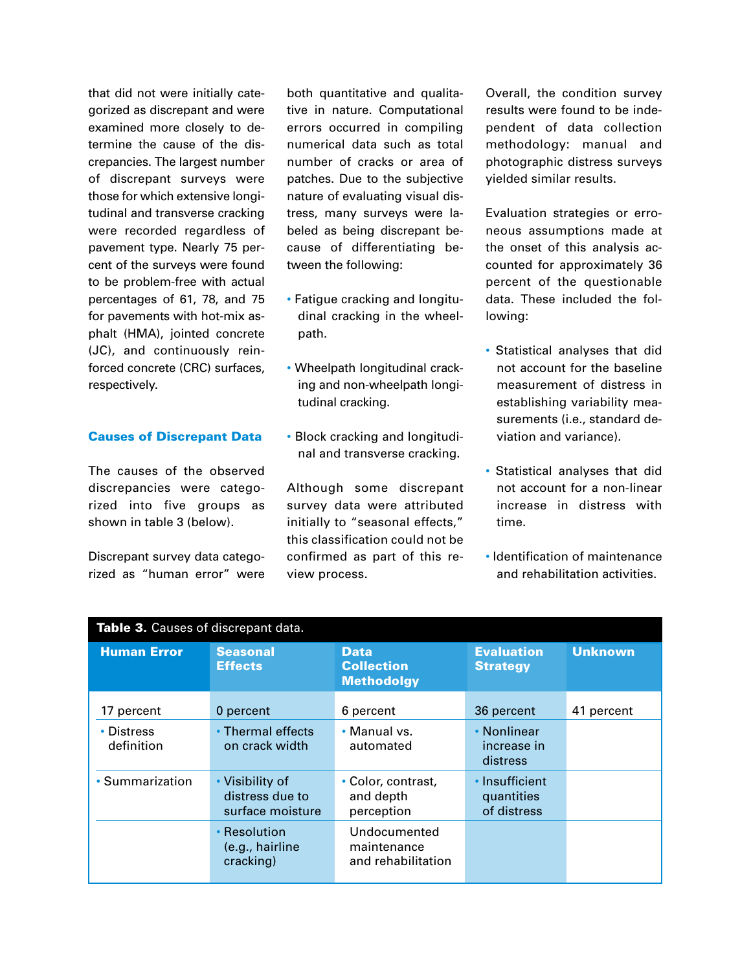that did not were initially categorized as discrepant and were examined more closely to determine the cause of the discrepancies. The largest number of discrepant surveys were those for which extensive longitudinal and transverse cracking were recorded regardless of pavement type. Nearly 75 percent of the surveys were found to be problem-free with actual percentages of 61, 78, and 75 for pavements with hot-mix asphalt (HMA), jointed concrete (JC), and continuously reinforced concrete (CRC) surfaces, respectively.

## **Causes of Discrepant Data**

The causes of the observed discrepancies were categorized into five groups as shown in table 3 (below).

Discrepant survey data categorized as "human error" were both quantitative and qualitative in nature. Computational errors occurred in compiling numerical data such as total number of cracks or area of patches. Due to the subjective nature of evaluating visual distress, many surveys were labeled as being discrepant because of differentiating between the following:

- Fatigue cracking and longitudinal cracking in the wheelpath.
- Wheelpath longitudinal cracking and non-wheelpath longitudinal cracking.
- Block cracking and longitudinal and transverse cracking.

Although some discrepant survey data were attributed initially to "seasonal effects," this classification could not be confirmed as part of this review process.

Overall, the condition survey results were found to be independent of data collection methodology: manual and photographic distress surveys yielded similar results.

Evaluation strategies or erroneous assumptions made at the onset of this analysis accounted for approximately 36 percent of the questionable data. These included the following:

- Statistical analyses that did not account for the baseline measurement of distress in establishing variability measurements (i.e., standard deviation and variance).
- Statistical analyses that did not account for a non-linear increase in distress with time.
- Identification of maintenance and rehabilitation activities.

| Table 3. Causes of discrepant data. |                                                        |                                                       |                                             |                |  |  |
|-------------------------------------|--------------------------------------------------------|-------------------------------------------------------|---------------------------------------------|----------------|--|--|
| <b>Human Error</b>                  | <b>Seasonal</b><br><b>Effects</b>                      | <b>Data</b><br><b>Collection</b><br><b>Methodolgy</b> | <b>Evaluation</b><br><b>Strategy</b>        | <b>Unknown</b> |  |  |
| 17 percent                          | 0 percent                                              | 6 percent                                             | 36 percent                                  | 41 percent     |  |  |
| • Distress<br>definition            | • Thermal effects<br>on crack width                    | • Manual vs.<br>automated                             | • Nonlinear<br>increase in<br>distress      |                |  |  |
| • Summarization                     | • Visibility of<br>distress due to<br>surface moisture | • Color, contrast,<br>and depth<br>perception         | • Insufficient<br>quantities<br>of distress |                |  |  |
|                                     | • Resolution<br>(e.g., hairline<br>cracking)           | Undocumented<br>maintenance<br>and rehabilitation     |                                             |                |  |  |